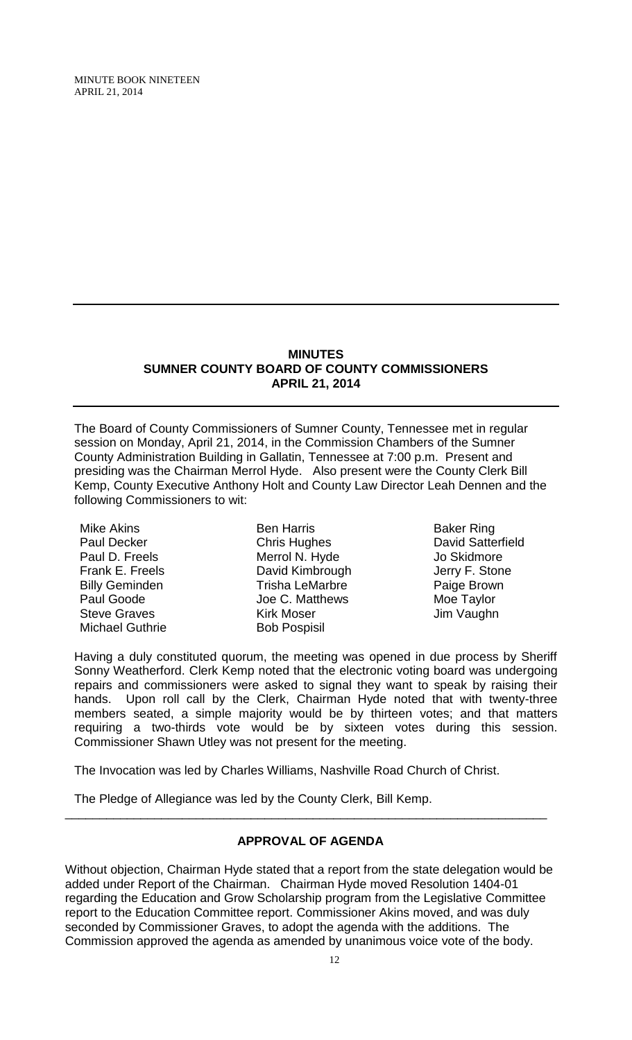MINUTE BOOK NINETEEN APRIL 21, 2014

#### **MINUTES SUMNER COUNTY BOARD OF COUNTY COMMISSIONERS APRIL 21, 2014**

The Board of County Commissioners of Sumner County, Tennessee met in regular session on Monday, April 21, 2014, in the Commission Chambers of the Sumner County Administration Building in Gallatin, Tennessee at 7:00 p.m. Present and presiding was the Chairman Merrol Hyde. Also present were the County Clerk Bill Kemp, County Executive Anthony Holt and County Law Director Leah Dennen and the following Commissioners to wit:

Mike Akins Paul Decker Paul D. Freels Frank E. Freels Billy Geminden Paul Goode Steve Graves Michael Guthrie

Ben Harris Chris Hughes Merrol N. Hyde David Kimbrough Trisha LeMarbre Joe C. Matthews Kirk Moser Bob Pospisil

Baker Ring David Satterfield Jo Skidmore Jerry F. Stone Paige Brown Moe Taylor Jim Vaughn

Having a duly constituted quorum, the meeting was opened in due process by Sheriff Sonny Weatherford. Clerk Kemp noted that the electronic voting board was undergoing repairs and commissioners were asked to signal they want to speak by raising their hands. Upon roll call by the Clerk, Chairman Hyde noted that with twenty-three members seated, a simple majority would be by thirteen votes; and that matters requiring a two-thirds vote would be by sixteen votes during this session. Commissioner Shawn Utley was not present for the meeting.

The Invocation was led by Charles Williams, Nashville Road Church of Christ.

The Pledge of Allegiance was led by the County Clerk, Bill Kemp.

# **APPROVAL OF AGENDA**

\_\_\_\_\_\_\_\_\_\_\_\_\_\_\_\_\_\_\_\_\_\_\_\_\_\_\_\_\_\_\_\_\_\_\_\_\_\_\_\_\_\_\_\_\_\_\_\_\_\_\_\_\_\_\_\_\_\_\_\_\_\_\_\_\_\_\_\_\_\_

Without objection, Chairman Hyde stated that a report from the state delegation would be added under Report of the Chairman. Chairman Hyde moved Resolution 1404-01 regarding the Education and Grow Scholarship program from the Legislative Committee report to the Education Committee report. Commissioner Akins moved, and was duly seconded by Commissioner Graves, to adopt the agenda with the additions. The Commission approved the agenda as amended by unanimous voice vote of the body.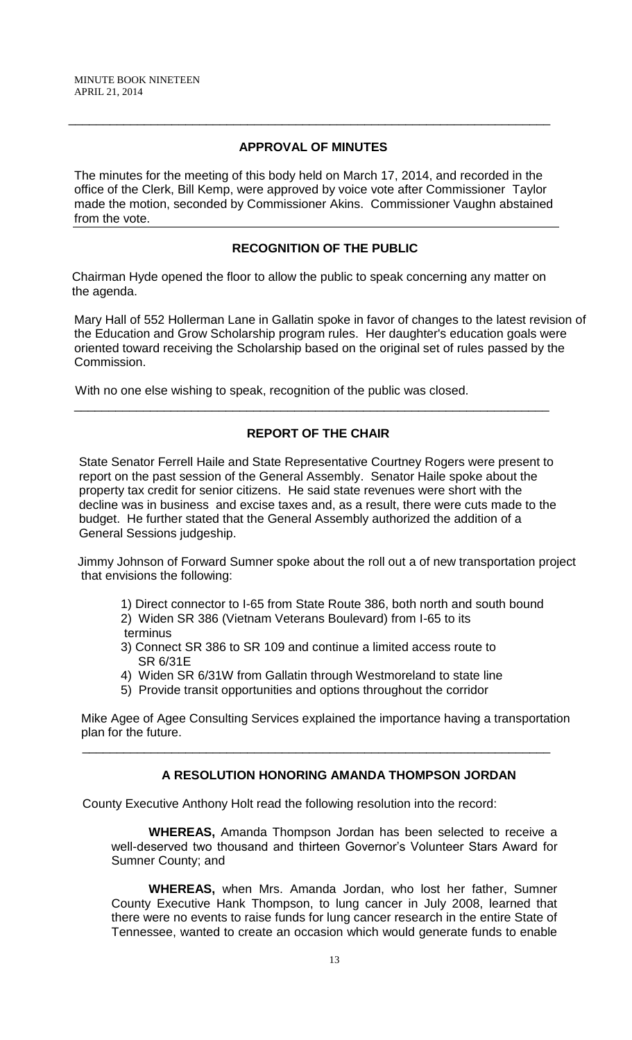## **APPROVAL OF MINUTES**

\_\_\_\_\_\_\_\_\_\_\_\_\_\_\_\_\_\_\_\_\_\_\_\_\_\_\_\_\_\_\_\_\_\_\_\_\_\_\_\_\_\_\_\_\_\_\_\_\_\_\_\_\_\_\_\_\_\_\_\_\_\_\_\_\_\_\_\_\_\_

The minutes for the meeting of this body held on March 17, 2014, and recorded in the office of the Clerk, Bill Kemp, were approved by voice vote after Commissioner Taylor made the motion, seconded by Commissioner Akins. Commissioner Vaughn abstained from the vote.

## **RECOGNITION OF THE PUBLIC**

 Chairman Hyde opened the floor to allow the public to speak concerning any matter on the agenda.

Mary Hall of 552 Hollerman Lane in Gallatin spoke in favor of changes to the latest revision of the Education and Grow Scholarship program rules. Her daughter's education goals were oriented toward receiving the Scholarship based on the original set of rules passed by the Commission.

With no one else wishing to speak, recognition of the public was closed.

## **REPORT OF THE CHAIR**

\_\_\_\_\_\_\_\_\_\_\_\_\_\_\_\_\_\_\_\_\_\_\_\_\_\_\_\_\_\_\_\_\_\_\_\_\_\_\_\_\_\_\_\_\_\_\_\_\_\_\_\_\_\_\_\_\_\_\_\_\_\_\_\_\_\_\_\_\_

State Senator Ferrell Haile and State Representative Courtney Rogers were present to report on the past session of the General Assembly. Senator Haile spoke about the property tax credit for senior citizens. He said state revenues were short with the decline was in business and excise taxes and, as a result, there were cuts made to the budget. He further stated that the General Assembly authorized the addition of a General Sessions judgeship.

Jimmy Johnson of Forward Sumner spoke about the roll out a of new transportation project that envisions the following:

- 1) Direct connector to I-65 from State Route 386, both north and south bound
- 2) Widen SR 386 (Vietnam Veterans Boulevard) from I-65 to its terminus
- 3) Connect SR 386 to SR 109 and continue a limited access route to SR 6/31E
- 4) Widen SR 6/31W from Gallatin through Westmoreland to state line
- 5) Provide transit opportunities and options throughout the corridor

 $\overline{\phantom{a}}$  , and the contribution of the contribution of the contribution of the contribution of the contribution of the contribution of the contribution of the contribution of the contribution of the contribution of the

 Mike Agee of Agee Consulting Services explained the importance having a transportation plan for the future.

### **A RESOLUTION HONORING AMANDA THOMPSON JORDAN**

County Executive Anthony Holt read the following resolution into the record:

**WHEREAS,** Amanda Thompson Jordan has been selected to receive a well-deserved two thousand and thirteen Governor's Volunteer Stars Award for Sumner County; and

**WHEREAS,** when Mrs. Amanda Jordan, who lost her father, Sumner County Executive Hank Thompson, to lung cancer in July 2008, learned that there were no events to raise funds for lung cancer research in the entire State of Tennessee, wanted to create an occasion which would generate funds to enable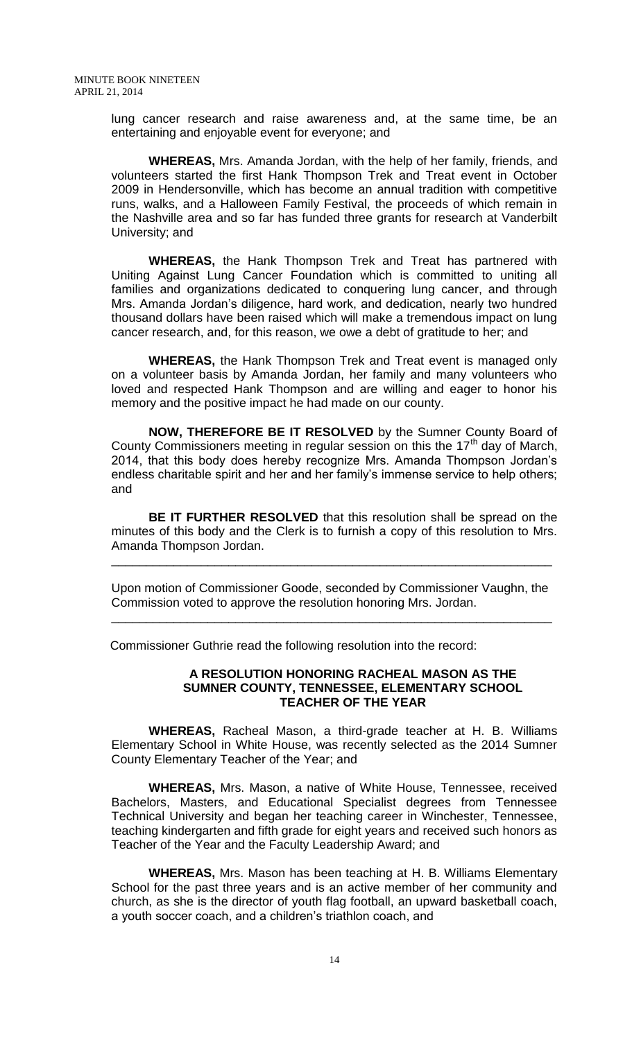lung cancer research and raise awareness and, at the same time, be an entertaining and enjoyable event for everyone; and

**WHEREAS,** Mrs. Amanda Jordan, with the help of her family, friends, and volunteers started the first Hank Thompson Trek and Treat event in October 2009 in Hendersonville, which has become an annual tradition with competitive runs, walks, and a Halloween Family Festival, the proceeds of which remain in the Nashville area and so far has funded three grants for research at Vanderbilt University; and

**WHEREAS,** the Hank Thompson Trek and Treat has partnered with Uniting Against Lung Cancer Foundation which is committed to uniting all families and organizations dedicated to conquering lung cancer, and through Mrs. Amanda Jordan's diligence, hard work, and dedication, nearly two hundred thousand dollars have been raised which will make a tremendous impact on lung cancer research, and, for this reason, we owe a debt of gratitude to her; and

**WHEREAS,** the Hank Thompson Trek and Treat event is managed only on a volunteer basis by Amanda Jordan, her family and many volunteers who loved and respected Hank Thompson and are willing and eager to honor his memory and the positive impact he had made on our county.

**NOW, THEREFORE BE IT RESOLVED** by the Sumner County Board of County Commissioners meeting in regular session on this the  $17<sup>th</sup>$  day of March, 2014, that this body does hereby recognize Mrs. Amanda Thompson Jordan's endless charitable spirit and her and her family's immense service to help others; and

**BE IT FURTHER RESOLVED** that this resolution shall be spread on the minutes of this body and the Clerk is to furnish a copy of this resolution to Mrs. Amanda Thompson Jordan.

Upon motion of Commissioner Goode, seconded by Commissioner Vaughn, the Commission voted to approve the resolution honoring Mrs. Jordan.

\_\_\_\_\_\_\_\_\_\_\_\_\_\_\_\_\_\_\_\_\_\_\_\_\_\_\_\_\_\_\_\_\_\_\_\_\_\_\_\_\_\_\_\_\_\_\_\_\_\_\_\_\_\_\_\_\_\_\_\_\_\_\_\_

\_\_\_\_\_\_\_\_\_\_\_\_\_\_\_\_\_\_\_\_\_\_\_\_\_\_\_\_\_\_\_\_\_\_\_\_\_\_\_\_\_\_\_\_\_\_\_\_\_\_\_\_\_\_\_\_\_\_\_\_\_\_\_\_

Commissioner Guthrie read the following resolution into the record:

### **A RESOLUTION HONORING RACHEAL MASON AS THE SUMNER COUNTY, TENNESSEE, ELEMENTARY SCHOOL TEACHER OF THE YEAR**

**WHEREAS,** Racheal Mason, a third-grade teacher at H. B. Williams Elementary School in White House, was recently selected as the 2014 Sumner County Elementary Teacher of the Year; and

**WHEREAS,** Mrs. Mason, a native of White House, Tennessee, received Bachelors, Masters, and Educational Specialist degrees from Tennessee Technical University and began her teaching career in Winchester, Tennessee, teaching kindergarten and fifth grade for eight years and received such honors as Teacher of the Year and the Faculty Leadership Award; and

**WHEREAS,** Mrs. Mason has been teaching at H. B. Williams Elementary School for the past three years and is an active member of her community and church, as she is the director of youth flag football, an upward basketball coach, a youth soccer coach, and a children's triathlon coach, and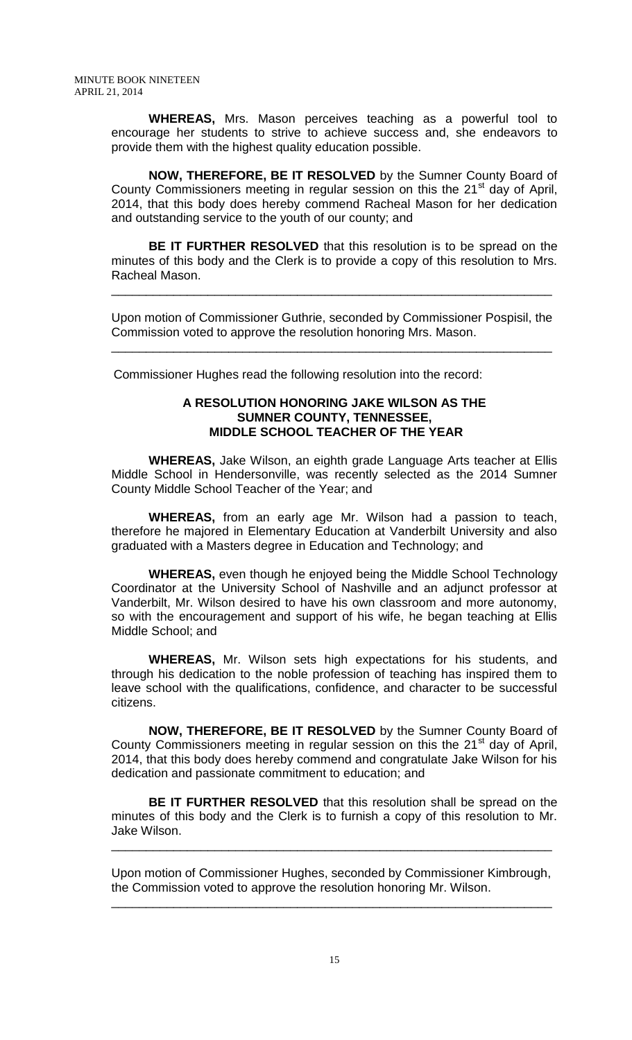**WHEREAS,** Mrs. Mason perceives teaching as a powerful tool to encourage her students to strive to achieve success and, she endeavors to provide them with the highest quality education possible.

**NOW, THEREFORE, BE IT RESOLVED** by the Sumner County Board of County Commissioners meeting in regular session on this the 21<sup>st</sup> day of April, 2014, that this body does hereby commend Racheal Mason for her dedication and outstanding service to the youth of our county; and

**BE IT FURTHER RESOLVED** that this resolution is to be spread on the minutes of this body and the Clerk is to provide a copy of this resolution to Mrs. Racheal Mason.

Upon motion of Commissioner Guthrie, seconded by Commissioner Pospisil, the Commission voted to approve the resolution honoring Mrs. Mason.

\_\_\_\_\_\_\_\_\_\_\_\_\_\_\_\_\_\_\_\_\_\_\_\_\_\_\_\_\_\_\_\_\_\_\_\_\_\_\_\_\_\_\_\_\_\_\_\_\_\_\_\_\_\_\_\_\_\_\_\_\_\_\_\_

\_\_\_\_\_\_\_\_\_\_\_\_\_\_\_\_\_\_\_\_\_\_\_\_\_\_\_\_\_\_\_\_\_\_\_\_\_\_\_\_\_\_\_\_\_\_\_\_\_\_\_\_\_\_\_\_\_\_\_\_\_\_\_\_

Commissioner Hughes read the following resolution into the record:

### **A RESOLUTION HONORING JAKE WILSON AS THE SUMNER COUNTY, TENNESSEE, MIDDLE SCHOOL TEACHER OF THE YEAR**

**WHEREAS,** Jake Wilson, an eighth grade Language Arts teacher at Ellis Middle School in Hendersonville, was recently selected as the 2014 Sumner County Middle School Teacher of the Year; and

**WHEREAS,** from an early age Mr. Wilson had a passion to teach, therefore he majored in Elementary Education at Vanderbilt University and also graduated with a Masters degree in Education and Technology; and

**WHEREAS,** even though he enjoyed being the Middle School Technology Coordinator at the University School of Nashville and an adjunct professor at Vanderbilt, Mr. Wilson desired to have his own classroom and more autonomy, so with the encouragement and support of his wife, he began teaching at Ellis Middle School; and

**WHEREAS,** Mr. Wilson sets high expectations for his students, and through his dedication to the noble profession of teaching has inspired them to leave school with the qualifications, confidence, and character to be successful citizens.

**NOW, THEREFORE, BE IT RESOLVED** by the Sumner County Board of County Commissioners meeting in regular session on this the 21<sup>st</sup> day of April, 2014, that this body does hereby commend and congratulate Jake Wilson for his dedication and passionate commitment to education; and

**BE IT FURTHER RESOLVED** that this resolution shall be spread on the minutes of this body and the Clerk is to furnish a copy of this resolution to Mr. Jake Wilson.

Upon motion of Commissioner Hughes, seconded by Commissioner Kimbrough, the Commission voted to approve the resolution honoring Mr. Wilson.

\_\_\_\_\_\_\_\_\_\_\_\_\_\_\_\_\_\_\_\_\_\_\_\_\_\_\_\_\_\_\_\_\_\_\_\_\_\_\_\_\_\_\_\_\_\_\_\_\_\_\_\_\_\_\_\_\_\_\_\_\_\_\_\_

\_\_\_\_\_\_\_\_\_\_\_\_\_\_\_\_\_\_\_\_\_\_\_\_\_\_\_\_\_\_\_\_\_\_\_\_\_\_\_\_\_\_\_\_\_\_\_\_\_\_\_\_\_\_\_\_\_\_\_\_\_\_\_\_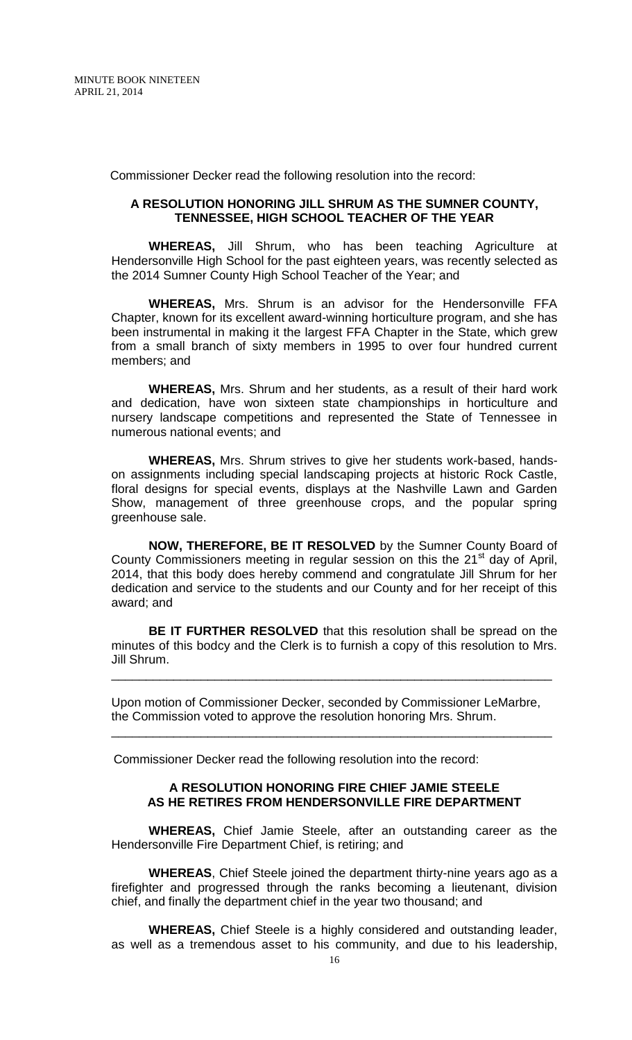Commissioner Decker read the following resolution into the record:

#### **A RESOLUTION HONORING JILL SHRUM AS THE SUMNER COUNTY, TENNESSEE, HIGH SCHOOL TEACHER OF THE YEAR**

**WHEREAS,** Jill Shrum, who has been teaching Agriculture at Hendersonville High School for the past eighteen years, was recently selected as the 2014 Sumner County High School Teacher of the Year; and

**WHEREAS,** Mrs. Shrum is an advisor for the Hendersonville FFA Chapter, known for its excellent award-winning horticulture program, and she has been instrumental in making it the largest FFA Chapter in the State, which grew from a small branch of sixty members in 1995 to over four hundred current members; and

**WHEREAS,** Mrs. Shrum and her students, as a result of their hard work and dedication, have won sixteen state championships in horticulture and nursery landscape competitions and represented the State of Tennessee in numerous national events; and

**WHEREAS,** Mrs. Shrum strives to give her students work-based, handson assignments including special landscaping projects at historic Rock Castle, floral designs for special events, displays at the Nashville Lawn and Garden Show, management of three greenhouse crops, and the popular spring greenhouse sale.

**NOW, THEREFORE, BE IT RESOLVED** by the Sumner County Board of County Commissioners meeting in regular session on this the  $21<sup>st</sup>$  day of April, 2014, that this body does hereby commend and congratulate Jill Shrum for her dedication and service to the students and our County and for her receipt of this award; and

**BE IT FURTHER RESOLVED** that this resolution shall be spread on the minutes of this bodcy and the Clerk is to furnish a copy of this resolution to Mrs. Jill Shrum.

\_\_\_\_\_\_\_\_\_\_\_\_\_\_\_\_\_\_\_\_\_\_\_\_\_\_\_\_\_\_\_\_\_\_\_\_\_\_\_\_\_\_\_\_\_\_\_\_\_\_\_\_\_\_\_\_\_\_\_\_\_\_\_\_

Upon motion of Commissioner Decker, seconded by Commissioner LeMarbre, the Commission voted to approve the resolution honoring Mrs. Shrum.

\_\_\_\_\_\_\_\_\_\_\_\_\_\_\_\_\_\_\_\_\_\_\_\_\_\_\_\_\_\_\_\_\_\_\_\_\_\_\_\_\_\_\_\_\_\_\_\_\_\_\_\_\_\_\_\_\_\_\_\_\_\_\_\_

Commissioner Decker read the following resolution into the record:

### **A RESOLUTION HONORING FIRE CHIEF JAMIE STEELE AS HE RETIRES FROM HENDERSONVILLE FIRE DEPARTMENT**

**WHEREAS,** Chief Jamie Steele, after an outstanding career as the Hendersonville Fire Department Chief, is retiring; and

**WHEREAS**, Chief Steele joined the department thirty-nine years ago as a firefighter and progressed through the ranks becoming a lieutenant, division chief, and finally the department chief in the year two thousand; and

**WHEREAS,** Chief Steele is a highly considered and outstanding leader, as well as a tremendous asset to his community, and due to his leadership,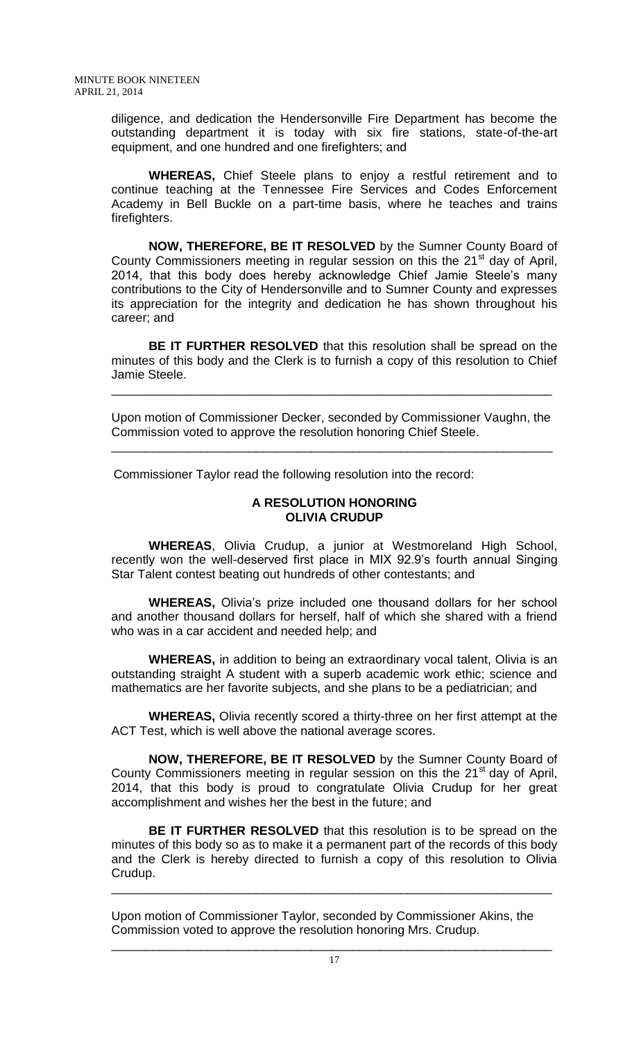diligence, and dedication the Hendersonville Fire Department has become the outstanding department it is today with six fire stations, state-of-the-art equipment, and one hundred and one firefighters; and

**WHEREAS,** Chief Steele plans to enjoy a restful retirement and to continue teaching at the Tennessee Fire Services and Codes Enforcement Academy in Bell Buckle on a part-time basis, where he teaches and trains firefighters.

**NOW, THEREFORE, BE IT RESOLVED** by the Sumner County Board of County Commissioners meeting in regular session on this the  $21<sup>st</sup>$  day of April, 2014, that this body does hereby acknowledge Chief Jamie Steele's many contributions to the City of Hendersonville and to Sumner County and expresses its appreciation for the integrity and dedication he has shown throughout his career; and

**BE IT FURTHER RESOLVED** that this resolution shall be spread on the minutes of this body and the Clerk is to furnish a copy of this resolution to Chief Jamie Steele.

Upon motion of Commissioner Decker, seconded by Commissioner Vaughn, the Commission voted to approve the resolution honoring Chief Steele.

\_\_\_\_\_\_\_\_\_\_\_\_\_\_\_\_\_\_\_\_\_\_\_\_\_\_\_\_\_\_\_\_\_\_\_\_\_\_\_\_\_\_\_\_\_\_\_\_\_\_\_\_\_\_\_\_\_\_\_\_\_\_\_\_

\_\_\_\_\_\_\_\_\_\_\_\_\_\_\_\_\_\_\_\_\_\_\_\_\_\_\_\_\_\_\_\_\_\_\_\_\_\_\_\_\_\_\_\_\_\_\_\_\_\_\_\_\_\_\_\_\_\_\_\_\_\_\_\_

Commissioner Taylor read the following resolution into the record:

### **A RESOLUTION HONORING OLIVIA CRUDUP**

**WHEREAS**, Olivia Crudup, a junior at Westmoreland High School, recently won the well-deserved first place in MIX 92.9's fourth annual Singing Star Talent contest beating out hundreds of other contestants; and

**WHEREAS,** Olivia's prize included one thousand dollars for her school and another thousand dollars for herself, half of which she shared with a friend who was in a car accident and needed help; and

**WHEREAS,** in addition to being an extraordinary vocal talent, Olivia is an outstanding straight A student with a superb academic work ethic; science and mathematics are her favorite subjects, and she plans to be a pediatrician; and

**WHEREAS,** Olivia recently scored a thirty-three on her first attempt at the ACT Test, which is well above the national average scores.

**NOW, THEREFORE, BE IT RESOLVED** by the Sumner County Board of County Commissioners meeting in regular session on this the  $21<sup>st</sup>$  day of April, 2014, that this body is proud to congratulate Olivia Crudup for her great accomplishment and wishes her the best in the future; and

**BE IT FURTHER RESOLVED** that this resolution is to be spread on the minutes of this body so as to make it a permanent part of the records of this body and the Clerk is hereby directed to furnish a copy of this resolution to Olivia Crudup.

\_\_\_\_\_\_\_\_\_\_\_\_\_\_\_\_\_\_\_\_\_\_\_\_\_\_\_\_\_\_\_\_\_\_\_\_\_\_\_\_\_\_\_\_\_\_\_\_\_\_\_\_\_\_\_\_\_\_\_\_\_\_\_\_

Upon motion of Commissioner Taylor, seconded by Commissioner Akins, the Commission voted to approve the resolution honoring Mrs. Crudup.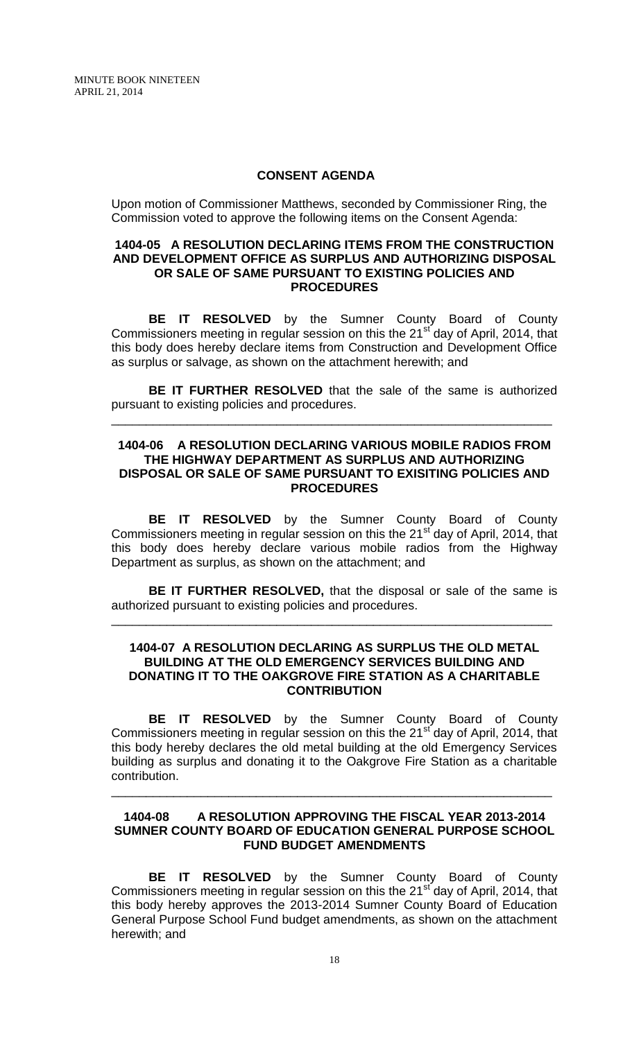MINUTE BOOK NINETEEN APRIL 21, 2014

### **CONSENT AGENDA**

Upon motion of Commissioner Matthews, seconded by Commissioner Ring, the Commission voted to approve the following items on the Consent Agenda:

### **1404-05 A RESOLUTION DECLARING ITEMS FROM THE CONSTRUCTION AND DEVELOPMENT OFFICE AS SURPLUS AND AUTHORIZING DISPOSAL OR SALE OF SAME PURSUANT TO EXISTING POLICIES AND PROCEDURES**

**BE IT RESOLVED** by the Sumner County Board of County Commissioners meeting in regular session on this the 21<sup>st</sup> day of April, 2014, that this body does hereby declare items from Construction and Development Office as surplus or salvage, as shown on the attachment herewith; and

**BE IT FURTHER RESOLVED** that the sale of the same is authorized pursuant to existing policies and procedures.

\_\_\_\_\_\_\_\_\_\_\_\_\_\_\_\_\_\_\_\_\_\_\_\_\_\_\_\_\_\_\_\_\_\_\_\_\_\_\_\_\_\_\_\_\_\_\_\_\_\_\_\_\_\_\_\_\_\_\_\_\_\_\_\_

#### **1404-06 A RESOLUTION DECLARING VARIOUS MOBILE RADIOS FROM THE HIGHWAY DEPARTMENT AS SURPLUS AND AUTHORIZING DISPOSAL OR SALE OF SAME PURSUANT TO EXISITING POLICIES AND PROCEDURES**

**BE IT RESOLVED** by the Sumner County Board of County Commissioners meeting in regular session on this the 21<sup>st</sup> day of April, 2014, that this body does hereby declare various mobile radios from the Highway Department as surplus, as shown on the attachment; and

**BE IT FURTHER RESOLVED,** that the disposal or sale of the same is authorized pursuant to existing policies and procedures.

\_\_\_\_\_\_\_\_\_\_\_\_\_\_\_\_\_\_\_\_\_\_\_\_\_\_\_\_\_\_\_\_\_\_\_\_\_\_\_\_\_\_\_\_\_\_\_\_\_\_\_\_\_\_\_\_\_\_\_\_\_\_\_\_

#### **1404-07 A RESOLUTION DECLARING AS SURPLUS THE OLD METAL BUILDING AT THE OLD EMERGENCY SERVICES BUILDING AND DONATING IT TO THE OAKGROVE FIRE STATION AS A CHARITABLE CONTRIBUTION**

**BE IT RESOLVED** by the Sumner County Board of County Commissioners meeting in regular session on this the 21<sup>st</sup> day of April, 2014, that this body hereby declares the old metal building at the old Emergency Services building as surplus and donating it to the Oakgrove Fire Station as a charitable contribution.

### **1404-08 A RESOLUTION APPROVING THE FISCAL YEAR 2013-2014 SUMNER COUNTY BOARD OF EDUCATION GENERAL PURPOSE SCHOOL FUND BUDGET AMENDMENTS**

\_\_\_\_\_\_\_\_\_\_\_\_\_\_\_\_\_\_\_\_\_\_\_\_\_\_\_\_\_\_\_\_\_\_\_\_\_\_\_\_\_\_\_\_\_\_\_\_\_\_\_\_\_\_\_\_\_\_\_\_\_\_\_\_

**BE IT RESOLVED** by the Sumner County Board of County Commissioners meeting in regular session on this the 21<sup>st</sup> day of April, 2014, that this body hereby approves the 2013-2014 Sumner County Board of Education General Purpose School Fund budget amendments, as shown on the attachment herewith; and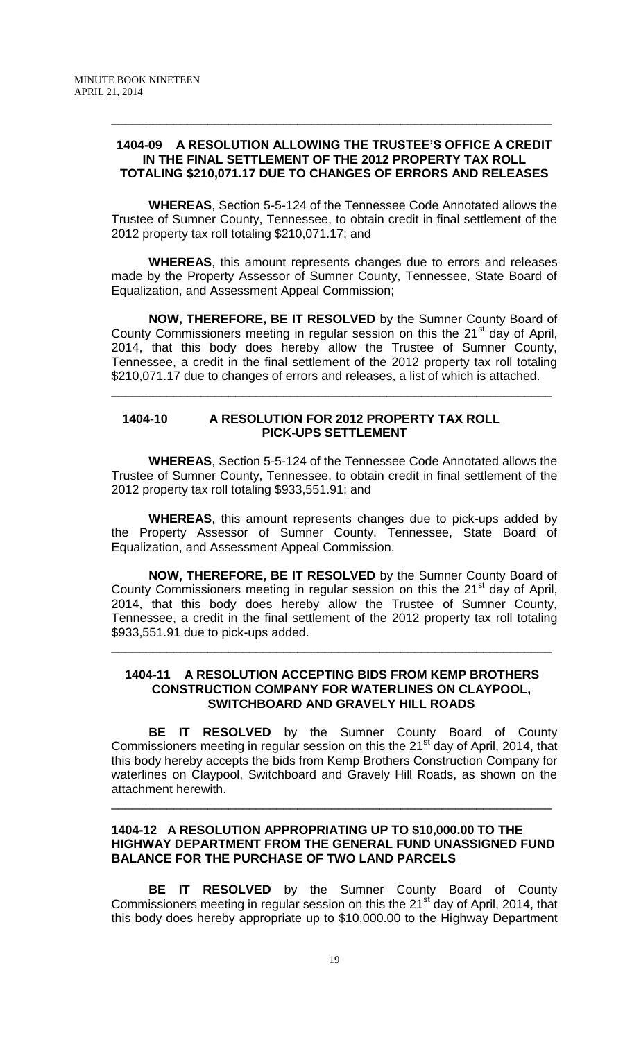### **1404-09 A RESOLUTION ALLOWING THE TRUSTEE'S OFFICE A CREDIT IN THE FINAL SETTLEMENT OF THE 2012 PROPERTY TAX ROLL TOTALING \$210,071.17 DUE TO CHANGES OF ERRORS AND RELEASES**

\_\_\_\_\_\_\_\_\_\_\_\_\_\_\_\_\_\_\_\_\_\_\_\_\_\_\_\_\_\_\_\_\_\_\_\_\_\_\_\_\_\_\_\_\_\_\_\_\_\_\_\_\_\_\_\_\_\_\_\_\_\_\_\_

**WHEREAS**, Section 5-5-124 of the Tennessee Code Annotated allows the Trustee of Sumner County, Tennessee, to obtain credit in final settlement of the 2012 property tax roll totaling \$210,071.17; and

**WHEREAS**, this amount represents changes due to errors and releases made by the Property Assessor of Sumner County, Tennessee, State Board of Equalization, and Assessment Appeal Commission;

**NOW, THEREFORE, BE IT RESOLVED** by the Sumner County Board of County Commissioners meeting in regular session on this the 21<sup>st</sup> day of April, 2014, that this body does hereby allow the Trustee of Sumner County, Tennessee, a credit in the final settlement of the 2012 property tax roll totaling \$210,071.17 due to changes of errors and releases, a list of which is attached.

\_\_\_\_\_\_\_\_\_\_\_\_\_\_\_\_\_\_\_\_\_\_\_\_\_\_\_\_\_\_\_\_\_\_\_\_\_\_\_\_\_\_\_\_\_\_\_\_\_\_\_\_\_\_\_\_\_\_\_\_\_\_\_\_

## **1404-10 A RESOLUTION FOR 2012 PROPERTY TAX ROLL PICK-UPS SETTLEMENT**

**WHEREAS**, Section 5-5-124 of the Tennessee Code Annotated allows the Trustee of Sumner County, Tennessee, to obtain credit in final settlement of the 2012 property tax roll totaling \$933,551.91; and

**WHEREAS**, this amount represents changes due to pick-ups added by the Property Assessor of Sumner County, Tennessee, State Board of Equalization, and Assessment Appeal Commission.

**NOW, THEREFORE, BE IT RESOLVED** by the Sumner County Board of County Commissioners meeting in regular session on this the 21<sup>st</sup> day of April, 2014, that this body does hereby allow the Trustee of Sumner County, Tennessee, a credit in the final settlement of the 2012 property tax roll totaling \$933,551.91 due to pick-ups added.

### **1404-11 A RESOLUTION ACCEPTING BIDS FROM KEMP BROTHERS CONSTRUCTION COMPANY FOR WATERLINES ON CLAYPOOL, SWITCHBOARD AND GRAVELY HILL ROADS**

\_\_\_\_\_\_\_\_\_\_\_\_\_\_\_\_\_\_\_\_\_\_\_\_\_\_\_\_\_\_\_\_\_\_\_\_\_\_\_\_\_\_\_\_\_\_\_\_\_\_\_\_\_\_\_\_\_\_\_\_\_\_\_\_

**BE IT RESOLVED** by the Sumner County Board of County Commissioners meeting in regular session on this the 21<sup>st</sup> day of April, 2014, that this body hereby accepts the bids from Kemp Brothers Construction Company for waterlines on Claypool, Switchboard and Gravely Hill Roads, as shown on the attachment herewith.

### **1404-12 A RESOLUTION APPROPRIATING UP TO \$10,000.00 TO THE HIGHWAY DEPARTMENT FROM THE GENERAL FUND UNASSIGNED FUND BALANCE FOR THE PURCHASE OF TWO LAND PARCELS**

\_\_\_\_\_\_\_\_\_\_\_\_\_\_\_\_\_\_\_\_\_\_\_\_\_\_\_\_\_\_\_\_\_\_\_\_\_\_\_\_\_\_\_\_\_\_\_\_\_\_\_\_\_\_\_\_\_\_\_\_\_\_\_\_

**BE IT RESOLVED** by the Sumner County Board of County Commissioners meeting in regular session on this the 21<sup>st</sup> day of April, 2014, that this body does hereby appropriate up to \$10,000.00 to the Highway Department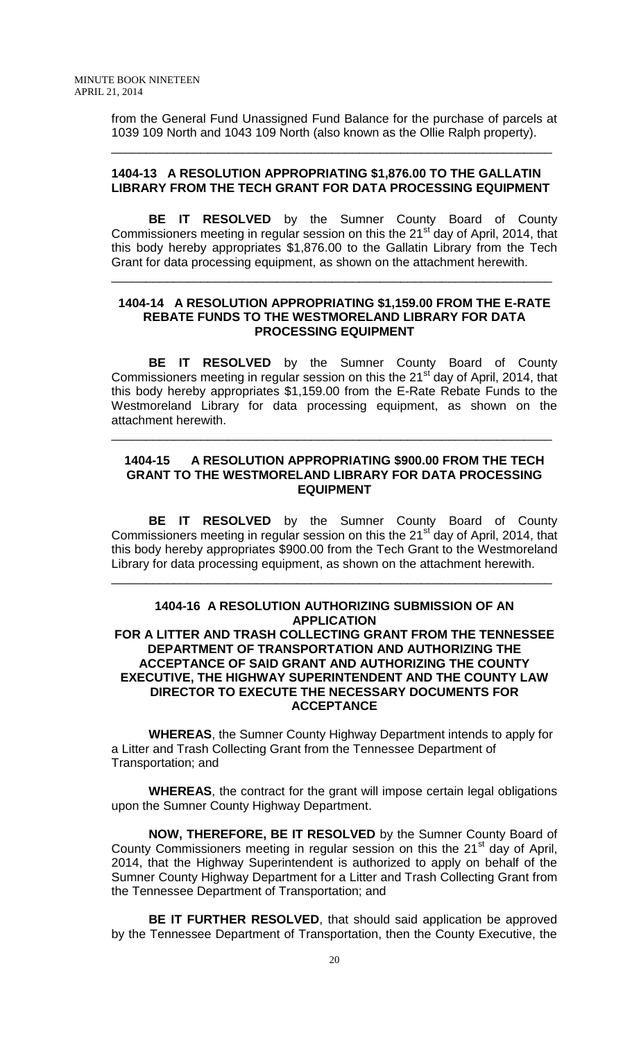from the General Fund Unassigned Fund Balance for the purchase of parcels at 1039 109 North and 1043 109 North (also known as the Ollie Ralph property).

### **1404-13 A RESOLUTION APPROPRIATING \$1,876.00 TO THE GALLATIN LIBRARY FROM THE TECH GRANT FOR DATA PROCESSING EQUIPMENT**

\_\_\_\_\_\_\_\_\_\_\_\_\_\_\_\_\_\_\_\_\_\_\_\_\_\_\_\_\_\_\_\_\_\_\_\_\_\_\_\_\_\_\_\_\_\_\_\_\_\_\_\_\_\_\_\_\_\_\_\_\_\_\_\_

**BE IT RESOLVED** by the Sumner County Board of County Commissioners meeting in regular session on this the 21<sup>st</sup> day of April, 2014, that this body hereby appropriates \$1,876.00 to the Gallatin Library from the Tech Grant for data processing equipment, as shown on the attachment herewith.

\_\_\_\_\_\_\_\_\_\_\_\_\_\_\_\_\_\_\_\_\_\_\_\_\_\_\_\_\_\_\_\_\_\_\_\_\_\_\_\_\_\_\_\_\_\_\_\_\_\_\_\_\_\_\_\_\_\_\_\_\_\_\_\_

### **1404-14 A RESOLUTION APPROPRIATING \$1,159.00 FROM THE E-RATE REBATE FUNDS TO THE WESTMORELAND LIBRARY FOR DATA PROCESSING EQUIPMENT**

**BE IT RESOLVED** by the Sumner County Board of County Commissioners meeting in regular session on this the 21<sup>st</sup> day of April, 2014, that this body hereby appropriates \$1,159.00 from the E-Rate Rebate Funds to the Westmoreland Library for data processing equipment, as shown on the attachment herewith.

### **1404-15 A RESOLUTION APPROPRIATING \$900.00 FROM THE TECH GRANT TO THE WESTMORELAND LIBRARY FOR DATA PROCESSING EQUIPMENT**

\_\_\_\_\_\_\_\_\_\_\_\_\_\_\_\_\_\_\_\_\_\_\_\_\_\_\_\_\_\_\_\_\_\_\_\_\_\_\_\_\_\_\_\_\_\_\_\_\_\_\_\_\_\_\_\_\_\_\_\_\_\_\_\_

**BE IT RESOLVED** by the Sumner County Board of County Commissioners meeting in regular session on this the 21<sup>st</sup> day of April, 2014, that this body hereby appropriates \$900.00 from the Tech Grant to the Westmoreland Library for data processing equipment, as shown on the attachment herewith.

\_\_\_\_\_\_\_\_\_\_\_\_\_\_\_\_\_\_\_\_\_\_\_\_\_\_\_\_\_\_\_\_\_\_\_\_\_\_\_\_\_\_\_\_\_\_\_\_\_\_\_\_\_\_\_\_\_\_\_\_\_\_\_\_

### **1404-16 A RESOLUTION AUTHORIZING SUBMISSION OF AN APPLICATION FOR A LITTER AND TRASH COLLECTING GRANT FROM THE TENNESSEE DEPARTMENT OF TRANSPORTATION AND AUTHORIZING THE ACCEPTANCE OF SAID GRANT AND AUTHORIZING THE COUNTY EXECUTIVE, THE HIGHWAY SUPERINTENDENT AND THE COUNTY LAW DIRECTOR TO EXECUTE THE NECESSARY DOCUMENTS FOR ACCEPTANCE**

**WHEREAS**, the Sumner County Highway Department intends to apply for a Litter and Trash Collecting Grant from the Tennessee Department of Transportation; and

**WHEREAS**, the contract for the grant will impose certain legal obligations upon the Sumner County Highway Department.

**NOW, THEREFORE, BE IT RESOLVED** by the Sumner County Board of County Commissioners meeting in regular session on this the 21<sup>st</sup> day of April, 2014, that the Highway Superintendent is authorized to apply on behalf of the Sumner County Highway Department for a Litter and Trash Collecting Grant from the Tennessee Department of Transportation; and

**BE IT FURTHER RESOLVED**, that should said application be approved by the Tennessee Department of Transportation, then the County Executive, the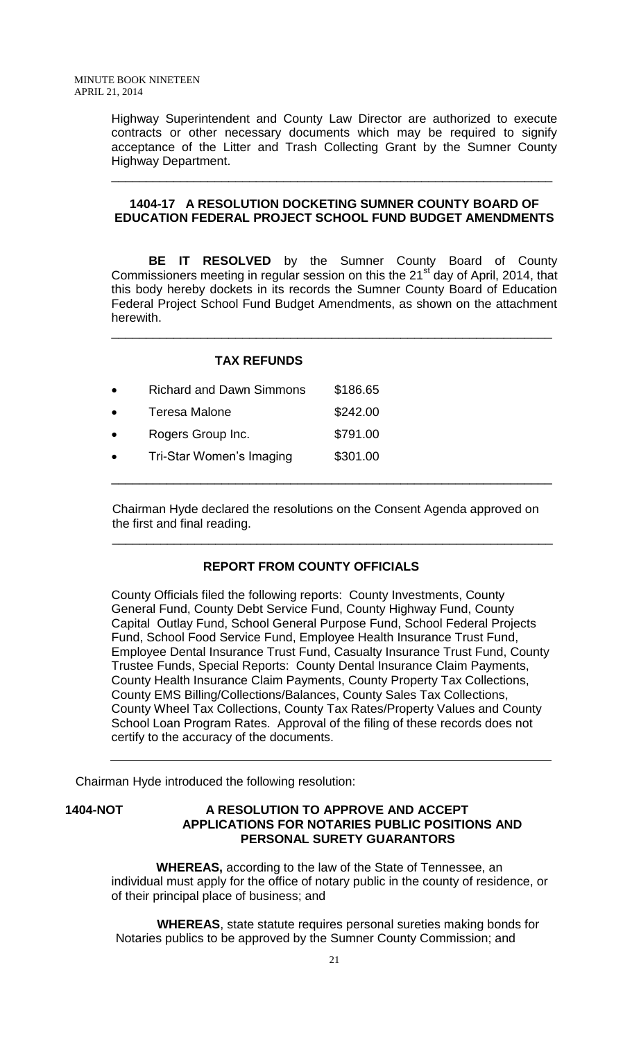Highway Superintendent and County Law Director are authorized to execute contracts or other necessary documents which may be required to signify acceptance of the Litter and Trash Collecting Grant by the Sumner County Highway Department.

## **1404-17 A RESOLUTION DOCKETING SUMNER COUNTY BOARD OF EDUCATION FEDERAL PROJECT SCHOOL FUND BUDGET AMENDMENTS**

\_\_\_\_\_\_\_\_\_\_\_\_\_\_\_\_\_\_\_\_\_\_\_\_\_\_\_\_\_\_\_\_\_\_\_\_\_\_\_\_\_\_\_\_\_\_\_\_\_\_\_\_\_\_\_\_\_\_\_\_\_\_\_\_

**BE IT RESOLVED** by the Sumner County Board of County Commissioners meeting in regular session on this the 21<sup>st</sup> day of April, 2014, that this body hereby dockets in its records the Sumner County Board of Education Federal Project School Fund Budget Amendments, as shown on the attachment herewith.

\_\_\_\_\_\_\_\_\_\_\_\_\_\_\_\_\_\_\_\_\_\_\_\_\_\_\_\_\_\_\_\_\_\_\_\_\_\_\_\_\_\_\_\_\_\_\_\_\_\_\_\_\_\_\_\_\_\_\_\_\_\_\_\_

|           | <b>TAX REFUNDS</b>              |          |
|-----------|---------------------------------|----------|
| $\bullet$ | <b>Richard and Dawn Simmons</b> | \$186.65 |
| $\bullet$ | <b>Teresa Malone</b>            | \$242.00 |
| $\bullet$ | Rogers Group Inc.               | \$791.00 |
| $\bullet$ | Tri-Star Women's Imaging        | \$301.00 |
|           |                                 |          |

Chairman Hyde declared the resolutions on the Consent Agenda approved on the first and final reading.

## **REPORT FROM COUNTY OFFICIALS**

\_\_\_\_\_\_\_\_\_\_\_\_\_\_\_\_\_\_\_\_\_\_\_\_\_\_\_\_\_\_\_\_\_\_\_\_\_\_\_\_\_\_\_\_\_\_\_\_\_\_\_\_\_\_\_\_\_\_\_\_\_\_\_\_

County Officials filed the following reports: County Investments, County General Fund, County Debt Service Fund, County Highway Fund, County Capital Outlay Fund, School General Purpose Fund, School Federal Projects Fund, School Food Service Fund, Employee Health Insurance Trust Fund, Employee Dental Insurance Trust Fund, Casualty Insurance Trust Fund, County Trustee Funds, Special Reports: County Dental Insurance Claim Payments, County Health Insurance Claim Payments, County Property Tax Collections, County EMS Billing/Collections/Balances, County Sales Tax Collections, County Wheel Tax Collections, County Tax Rates/Property Values and County School Loan Program Rates. Approval of the filing of these records does not certify to the accuracy of the documents.

Chairman Hyde introduced the following resolution:

### **1404-NOT A RESOLUTION TO APPROVE AND ACCEPT APPLICATIONS FOR NOTARIES PUBLIC POSITIONS AND PERSONAL SURETY GUARANTORS**

 **WHEREAS,** according to the law of the State of Tennessee, an individual must apply for the office of notary public in the county of residence, or of their principal place of business; and

 **WHEREAS**, state statute requires personal sureties making bonds for Notaries publics to be approved by the Sumner County Commission; and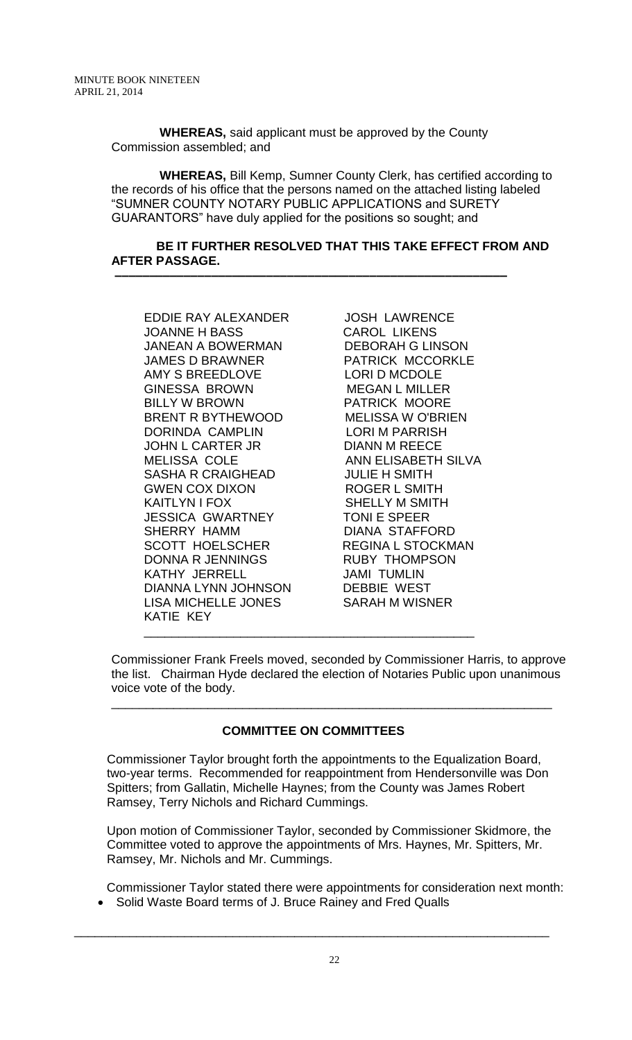**WHEREAS,** said applicant must be approved by the County Commission assembled; and

 **–––––––––––––––––––––––––––––––––––––––––––––––––––––––––**

 **WHEREAS,** Bill Kemp, Sumner County Clerk, has certified according to the records of his office that the persons named on the attached listing labeled "SUMNER COUNTY NOTARY PUBLIC APPLICATIONS and SURETY GUARANTORS" have duly applied for the positions so sought; and

### **BE IT FURTHER RESOLVED THAT THIS TAKE EFFECT FROM AND AFTER PASSAGE.**

EDDIE RAY ALEXANDER JOSH LAWRENCE JOANNE H BASS CAROL LIKENS JANEAN A BOWERMAN DEBORAH G LINSON JAMES D BRAWNER PATRICK MCCORKLE AMY S BREEDLOVE LORI D MCDOLE GINESSA BROWN MEGAN L MILLER BILLY W BROWN PATRICK MOORE BRENT R BYTHEWOOD MELISSA W O'BRIEN DORINDA CAMPLIN LORI M PARRISH JOHN L CARTER JR DIANN M REECE MELISSA COLE ANN ELISABETH SILVA SASHA R CRAIGHEAD JULIE H SMITH GWEN COX DIXON ROGER L SMITH KAITLYN I FOX SHELLY M SMITH JESSICA GWARTNEY TONI E SPEER SCOTT HOELSCHER REGINA L STOCKMAN DONNA R JENNINGS RUBY THOMPSON KATHY JERRELL JAMI TUMLIN DIANNA LYNN JOHNSON DEBBIE WEST<br>LISA MICHELLE JONES SARAH M WISNER LISA MICHELLE JONES KATIE KEY \_\_\_\_\_\_\_\_\_\_\_\_\_\_\_\_\_\_\_\_\_\_\_\_\_\_\_\_\_\_\_\_\_\_\_\_\_\_\_\_\_\_\_\_\_\_\_\_

DIANA STAFFORD

Commissioner Frank Freels moved, seconded by Commissioner Harris, to approve the list. Chairman Hyde declared the election of Notaries Public upon unanimous voice vote of the body.

\_\_\_\_\_\_\_\_\_\_\_\_\_\_\_\_\_\_\_\_\_\_\_\_\_\_\_\_\_\_\_\_\_\_\_\_\_\_\_\_\_\_\_\_\_\_\_\_\_\_\_\_\_\_\_\_\_\_\_\_\_\_\_\_

## **COMMITTEE ON COMMITTEES**

Commissioner Taylor brought forth the appointments to the Equalization Board, two-year terms. Recommended for reappointment from Hendersonville was Don Spitters; from Gallatin, Michelle Haynes; from the County was James Robert Ramsey, Terry Nichols and Richard Cummings.

Upon motion of Commissioner Taylor, seconded by Commissioner Skidmore, the Committee voted to approve the appointments of Mrs. Haynes, Mr. Spitters, Mr. Ramsey, Mr. Nichols and Mr. Cummings.

 Commissioner Taylor stated there were appointments for consideration next month: • Solid Waste Board terms of J. Bruce Rainey and Fred Qualls

\_\_\_\_\_\_\_\_\_\_\_\_\_\_\_\_\_\_\_\_\_\_\_\_\_\_\_\_\_\_\_\_\_\_\_\_\_\_\_\_\_\_\_\_\_\_\_\_\_\_\_\_\_\_\_\_\_\_\_\_\_\_\_\_\_\_\_\_\_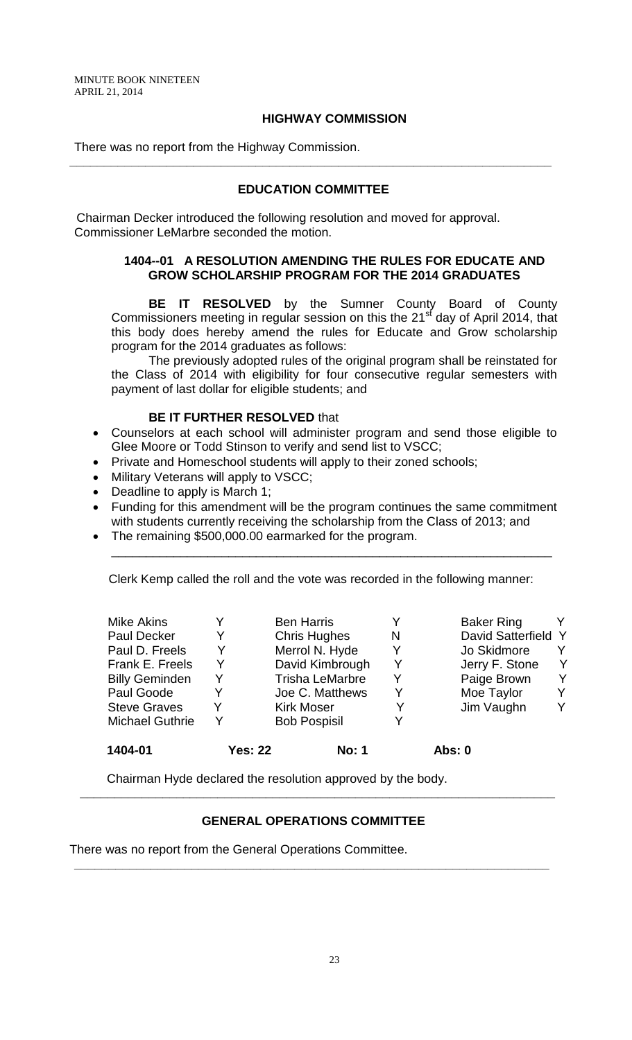### **HIGHWAY COMMISSION**

There was no report from the Highway Commission.

#### **EDUCATION COMMITTEE**

**\_\_\_\_\_\_\_\_\_\_\_\_\_\_\_\_\_\_\_\_\_\_\_\_\_\_\_\_\_\_\_\_\_\_\_\_\_\_\_\_\_\_\_\_\_\_\_\_\_\_\_\_\_\_\_\_\_\_\_\_\_\_\_\_\_\_\_\_\_\_**

 Chairman Decker introduced the following resolution and moved for approval. Commissioner LeMarbre seconded the motion.

#### **1404--01 A RESOLUTION AMENDING THE RULES FOR EDUCATE AND GROW SCHOLARSHIP PROGRAM FOR THE 2014 GRADUATES**

**BE IT RESOLVED** by the Sumner County Board of County Commissioners meeting in regular session on this the 21 $\mathrm{st}$  day of April 2014, that this body does hereby amend the rules for Educate and Grow scholarship program for the 2014 graduates as follows:

The previously adopted rules of the original program shall be reinstated for the Class of 2014 with eligibility for four consecutive regular semesters with payment of last dollar for eligible students; and

#### **BE IT FURTHER RESOLVED** that

- Counselors at each school will administer program and send those eligible to Glee Moore or Todd Stinson to verify and send list to VSCC;
- Private and Homeschool students will apply to their zoned schools;
- Military Veterans will apply to VSCC;
- Deadline to apply is March 1;
- Funding for this amendment will be the program continues the same commitment with students currently receiving the scholarship from the Class of 2013; and

\_\_\_\_\_\_\_\_\_\_\_\_\_\_\_\_\_\_\_\_\_\_\_\_\_\_\_\_\_\_\_\_\_\_\_\_\_\_\_\_\_\_\_\_\_\_\_\_\_\_\_\_\_\_\_\_\_\_\_\_\_\_\_\_

The remaining \$500,000.00 earmarked for the program.

Clerk Kemp called the roll and the vote was recorded in the following manner:

| 1404-01                | <b>Yes: 22</b> | <b>No: 1</b>           |   | <b>Abs: 0</b>       |   |
|------------------------|----------------|------------------------|---|---------------------|---|
| <b>Michael Guthrie</b> | Y              | <b>Bob Pospisil</b>    |   |                     |   |
| <b>Steve Graves</b>    |                | <b>Kirk Moser</b>      |   | Jim Vaughn          | Y |
| Paul Goode             | Y              | Joe C. Matthews        | Y | Moe Taylor          | Y |
| <b>Billy Geminden</b>  | Y              | <b>Trisha LeMarbre</b> | Y | Paige Brown         | Y |
| Frank E. Freels        | Y              | David Kimbrough        | Y | Jerry F. Stone      | Y |
| Paul D. Freels         | Y              | Merrol N. Hyde         | Y | Jo Skidmore         | Y |
| <b>Paul Decker</b>     | Y              | <b>Chris Hughes</b>    | N | David Satterfield Y |   |
| <b>Mike Akins</b>      |                | <b>Ben Harris</b>      |   | <b>Baker Ring</b>   | Y |

Chairman Hyde declared the resolution approved by the body.

### **GENERAL OPERATIONS COMMITTEE**

**\_\_\_\_\_\_\_\_\_\_\_\_\_\_\_\_\_\_\_\_\_\_\_\_\_\_\_\_\_\_\_\_\_\_\_\_\_\_\_\_\_\_\_\_\_\_\_\_\_\_\_\_\_\_\_\_\_\_\_\_\_\_\_\_\_\_\_\_\_**

**\_\_\_\_\_\_\_\_\_\_\_\_\_\_\_\_\_\_\_\_\_\_\_\_\_\_\_\_\_\_\_\_\_\_\_\_\_\_\_\_\_\_\_\_\_\_\_\_\_\_\_\_\_\_\_\_\_\_\_\_\_\_\_\_\_\_\_\_\_**

There was no report from the General Operations Committee.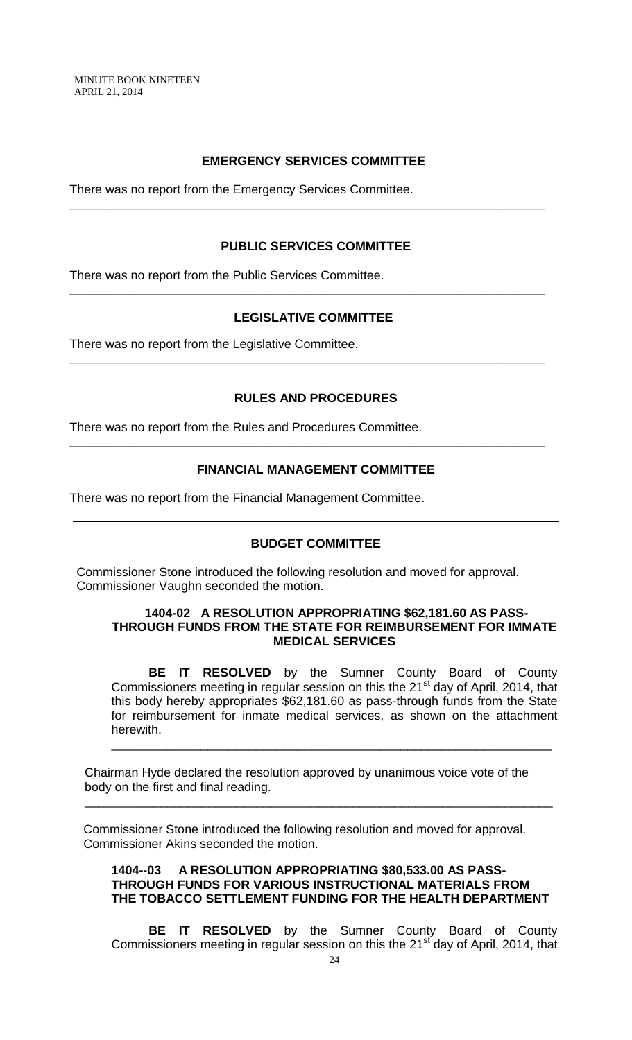MINUTE BOOK NINETEEN APRIL 21, 2014

## **EMERGENCY SERVICES COMMITTEE**

**\_\_\_\_\_\_\_\_\_\_\_\_\_\_\_\_\_\_\_\_\_\_\_\_\_\_\_\_\_\_\_\_\_\_\_\_\_\_\_\_\_\_\_\_\_\_\_\_\_\_\_\_\_\_\_\_\_\_\_\_\_\_\_\_\_\_\_\_\_**

There was no report from the Emergency Services Committee.

### **PUBLIC SERVICES COMMITTEE**

There was no report from the Public Services Committee.

## **LEGISLATIVE COMMITTEE**

**\_\_\_\_\_\_\_\_\_\_\_\_\_\_\_\_\_\_\_\_\_\_\_\_\_\_\_\_\_\_\_\_\_\_\_\_\_\_\_\_\_\_\_\_\_\_\_\_\_\_\_\_\_\_\_\_\_\_\_\_\_\_\_\_\_\_\_\_\_**

**\_\_\_\_\_\_\_\_\_\_\_\_\_\_\_\_\_\_\_\_\_\_\_\_\_\_\_\_\_\_\_\_\_\_\_\_\_\_\_\_\_\_\_\_\_\_\_\_\_\_\_\_\_\_\_\_\_\_\_\_\_\_\_\_\_\_\_\_\_**

There was no report from the Legislative Committee.

### **RULES AND PROCEDURES**

There was no report from the Rules and Procedures Committee.

#### **FINANCIAL MANAGEMENT COMMITTEE**

**\_\_\_\_\_\_\_\_\_\_\_\_\_\_\_\_\_\_\_\_\_\_\_\_\_\_\_\_\_\_\_\_\_\_\_\_\_\_\_\_\_\_\_\_\_\_\_\_\_\_\_\_\_\_\_\_\_\_\_\_\_\_\_\_\_\_\_\_\_**

There was no report from the Financial Management Committee.

### **BUDGET COMMITTEE**

 Commissioner Stone introduced the following resolution and moved for approval. Commissioner Vaughn seconded the motion.

#### **1404-02 A RESOLUTION APPROPRIATING \$62,181.60 AS PASS-THROUGH FUNDS FROM THE STATE FOR REIMBURSEMENT FOR IMMATE MEDICAL SERVICES**

**BE IT RESOLVED** by the Sumner County Board of County Commissioners meeting in regular session on this the 21<sup>st</sup> day of April, 2014, that this body hereby appropriates \$62,181.60 as pass-through funds from the State for reimbursement for inmate medical services, as shown on the attachment herewith.

\_\_\_\_\_\_\_\_\_\_\_\_\_\_\_\_\_\_\_\_\_\_\_\_\_\_\_\_\_\_\_\_\_\_\_\_\_\_\_\_\_\_\_\_\_\_\_\_\_\_\_\_\_\_\_\_\_\_\_\_\_\_\_\_

Chairman Hyde declared the resolution approved by unanimous voice vote of the body on the first and final reading.

 $\overline{\phantom{a}}$  , and the contribution of the contribution of the contribution of the contribution of the contribution of the contribution of the contribution of the contribution of the contribution of the contribution of the

 Commissioner Stone introduced the following resolution and moved for approval. Commissioner Akins seconded the motion.

### **1404--03 A RESOLUTION APPROPRIATING \$80,533.00 AS PASS-THROUGH FUNDS FOR VARIOUS INSTRUCTIONAL MATERIALS FROM THE TOBACCO SETTLEMENT FUNDING FOR THE HEALTH DEPARTMENT**

**BE IT RESOLVED** by the Sumner County Board of County Commissioners meeting in regular session on this the 21<sup>st</sup> day of April, 2014, that